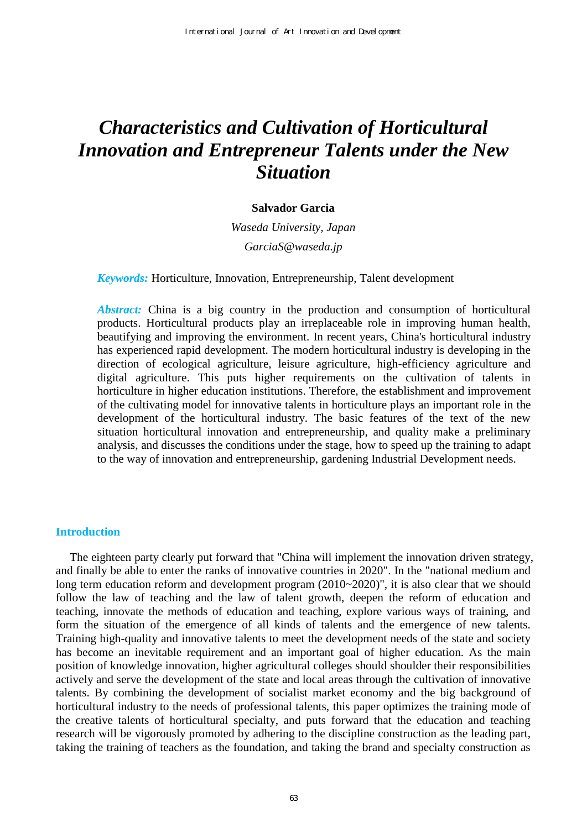# *Characteristics and Cultivation of Horticultural Innovation and Entrepreneur Talents under the New Situation*

#### **Salvador Garcia**

*Waseda University, Japan GarciaS@waseda.jp* 

*Keywords:* Horticulture, Innovation, Entrepreneurship, Talent development

*Abstract:* China is a big country in the production and consumption of horticultural products. Horticultural products play an irreplaceable role in improving human health, beautifying and improving the environment. In recent years, China's horticultural industry has experienced rapid development. The modern horticultural industry is developing in the direction of ecological agriculture, leisure agriculture, high-efficiency agriculture and digital agriculture. This puts higher requirements on the cultivation of talents in horticulture in higher education institutions. Therefore, the establishment and improvement of the cultivating model for innovative talents in horticulture plays an important role in the development of the horticultural industry. The basic features of the text of the new situation horticultural innovation and entrepreneurship, and quality make a preliminary analysis, and discusses the conditions under the stage, how to speed up the training to adapt to the way of innovation and entrepreneurship, gardening Industrial Development needs.

# **Introduction**

The eighteen party clearly put forward that "China will implement the innovation driven strategy, and finally be able to enter the ranks of innovative countries in 2020". In the "national medium and long term education reform and development program  $(2010~2020)$ ", it is also clear that we should follow the law of teaching and the law of talent growth, deepen the reform of education and teaching, innovate the methods of education and teaching, explore various ways of training, and form the situation of the emergence of all kinds of talents and the emergence of new talents. Training high-quality and innovative talents to meet the development needs of the state and society has become an inevitable requirement and an important goal of higher education. As the main position of knowledge innovation, higher agricultural colleges should shoulder their responsibilities actively and serve the development of the state and local areas through the cultivation of innovative talents. By combining the development of socialist market economy and the big background of horticultural industry to the needs of professional talents, this paper optimizes the training mode of the creative talents of horticultural specialty, and puts forward that the education and teaching research will be vigorously promoted by adhering to the discipline construction as the leading part, taking the training of teachers as the foundation, and taking the brand and specialty construction as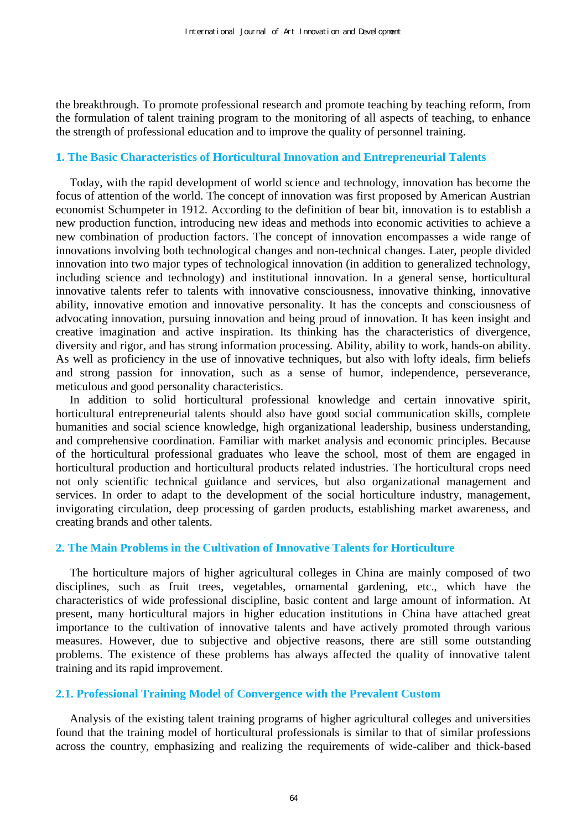the breakthrough. To promote professional research and promote teaching by teaching reform, from the formulation of talent training program to the monitoring of all aspects of teaching, to enhance the strength of professional education and to improve the quality of personnel training.

# **1. The Basic Characteristics of Horticultural Innovation and Entrepreneurial Talents**

Today, with the rapid development of world science and technology, innovation has become the focus of attention of the world. The concept of innovation was first proposed by American Austrian economist Schumpeter in 1912. According to the definition of bear bit, innovation is to establish a new production function, introducing new ideas and methods into economic activities to achieve a new combination of production factors. The concept of innovation encompasses a wide range of innovations involving both technological changes and non-technical changes. Later, people divided innovation into two major types of technological innovation (in addition to generalized technology, including science and technology) and institutional innovation. In a general sense, horticultural innovative talents refer to talents with innovative consciousness, innovative thinking, innovative ability, innovative emotion and innovative personality. It has the concepts and consciousness of advocating innovation, pursuing innovation and being proud of innovation. It has keen insight and creative imagination and active inspiration. Its thinking has the characteristics of divergence, diversity and rigor, and has strong information processing. Ability, ability to work, hands-on ability. As well as proficiency in the use of innovative techniques, but also with lofty ideals, firm beliefs and strong passion for innovation, such as a sense of humor, independence, perseverance, meticulous and good personality characteristics.

In addition to solid horticultural professional knowledge and certain innovative spirit, horticultural entrepreneurial talents should also have good social communication skills, complete humanities and social science knowledge, high organizational leadership, business understanding, and comprehensive coordination. Familiar with market analysis and economic principles. Because of the horticultural professional graduates who leave the school, most of them are engaged in horticultural production and horticultural products related industries. The horticultural crops need not only scientific technical guidance and services, but also organizational management and services. In order to adapt to the development of the social horticulture industry, management, invigorating circulation, deep processing of garden products, establishing market awareness, and creating brands and other talents.

#### **2. The Main Problems in the Cultivation of Innovative Talents for Horticulture**

The horticulture majors of higher agricultural colleges in China are mainly composed of two disciplines, such as fruit trees, vegetables, ornamental gardening, etc., which have the characteristics of wide professional discipline, basic content and large amount of information. At present, many horticultural majors in higher education institutions in China have attached great importance to the cultivation of innovative talents and have actively promoted through various measures. However, due to subjective and objective reasons, there are still some outstanding problems. The existence of these problems has always affected the quality of innovative talent training and its rapid improvement.

#### **2.1. Professional Training Model of Convergence with the Prevalent Custom**

Analysis of the existing talent training programs of higher agricultural colleges and universities found that the training model of horticultural professionals is similar to that of similar professions across the country, emphasizing and realizing the requirements of wide-caliber and thick-based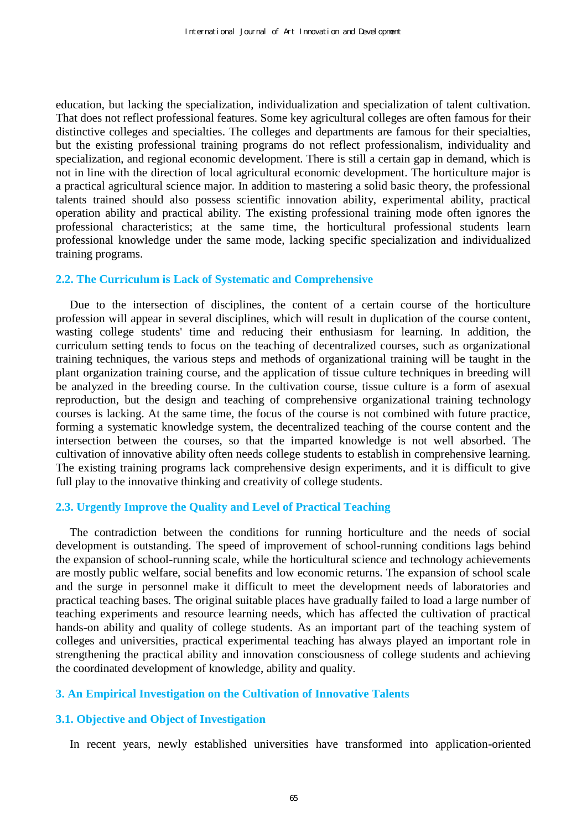education, but lacking the specialization, individualization and specialization of talent cultivation. That does not reflect professional features. Some key agricultural colleges are often famous for their distinctive colleges and specialties. The colleges and departments are famous for their specialties, but the existing professional training programs do not reflect professionalism, individuality and specialization, and regional economic development. There is still a certain gap in demand, which is not in line with the direction of local agricultural economic development. The horticulture major is a practical agricultural science major. In addition to mastering a solid basic theory, the professional talents trained should also possess scientific innovation ability, experimental ability, practical operation ability and practical ability. The existing professional training mode often ignores the professional characteristics; at the same time, the horticultural professional students learn professional knowledge under the same mode, lacking specific specialization and individualized training programs.

# **2.2. The Curriculum is Lack of Systematic and Comprehensive**

Due to the intersection of disciplines, the content of a certain course of the horticulture profession will appear in several disciplines, which will result in duplication of the course content, wasting college students' time and reducing their enthusiasm for learning. In addition, the curriculum setting tends to focus on the teaching of decentralized courses, such as organizational training techniques, the various steps and methods of organizational training will be taught in the plant organization training course, and the application of tissue culture techniques in breeding will be analyzed in the breeding course. In the cultivation course, tissue culture is a form of asexual reproduction, but the design and teaching of comprehensive organizational training technology courses is lacking. At the same time, the focus of the course is not combined with future practice, forming a systematic knowledge system, the decentralized teaching of the course content and the intersection between the courses, so that the imparted knowledge is not well absorbed. The cultivation of innovative ability often needs college students to establish in comprehensive learning. The existing training programs lack comprehensive design experiments, and it is difficult to give full play to the innovative thinking and creativity of college students.

#### **2.3. Urgently Improve the Quality and Level of Practical Teaching**

The contradiction between the conditions for running horticulture and the needs of social development is outstanding. The speed of improvement of school-running conditions lags behind the expansion of school-running scale, while the horticultural science and technology achievements are mostly public welfare, social benefits and low economic returns. The expansion of school scale and the surge in personnel make it difficult to meet the development needs of laboratories and practical teaching bases. The original suitable places have gradually failed to load a large number of teaching experiments and resource learning needs, which has affected the cultivation of practical hands-on ability and quality of college students. As an important part of the teaching system of colleges and universities, practical experimental teaching has always played an important role in strengthening the practical ability and innovation consciousness of college students and achieving the coordinated development of knowledge, ability and quality.

#### **3. An Empirical Investigation on the Cultivation of Innovative Talents**

#### **3.1. Objective and Object of Investigation**

In recent years, newly established universities have transformed into application-oriented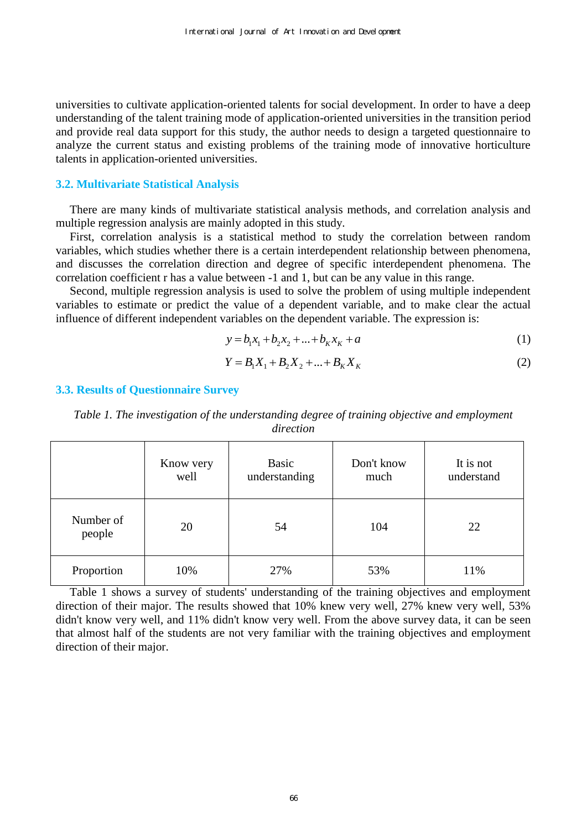universities to cultivate application-oriented talents for social development. In order to have a deep understanding of the talent training mode of application-oriented universities in the transition period and provide real data support for this study, the author needs to design a targeted questionnaire to analyze the current status and existing problems of the training mode of innovative horticulture talents in application-oriented universities.

#### **3.2. Multivariate Statistical Analysis**

There are many kinds of multivariate statistical analysis methods, and correlation analysis and multiple regression analysis are mainly adopted in this study.

First, correlation analysis is a statistical method to study the correlation between random variables, which studies whether there is a certain interdependent relationship between phenomena, and discusses the correlation direction and degree of specific interdependent phenomena. The correlation coefficient r has a value between -1 and 1, but can be any value in this range.

Second, multiple regression analysis is used to solve the problem of using multiple independent variables to estimate or predict the value of a dependent variable, and to make clear the actual influence of different independent variables on the dependent variable. The expression is:

$$
y = b_1 x_1 + b_2 x_2 + \dots + b_K x_K + a \tag{1}
$$

$$
Y = B_1 X_1 + B_2 X_2 + \dots + B_K X_K
$$
 (2)

#### **3.3. Results of Questionnaire Survey**

*Table 1. The investigation of the understanding degree of training objective and employment direction* 

|                     | Know very<br>well | Basic<br>understanding | Don't know<br>much | It is not<br>understand |
|---------------------|-------------------|------------------------|--------------------|-------------------------|
| Number of<br>people | 20                | 54                     | 104                | 22                      |
| Proportion          | 10%               | 27%                    | 53%                | 11%                     |

Table 1 shows a survey of students' understanding of the training objectives and employment direction of their major. The results showed that 10% knew very well, 27% knew very well, 53% didn't know very well, and 11% didn't know very well. From the above survey data, it can be seen that almost half of the students are not very familiar with the training objectives and employment direction of their major.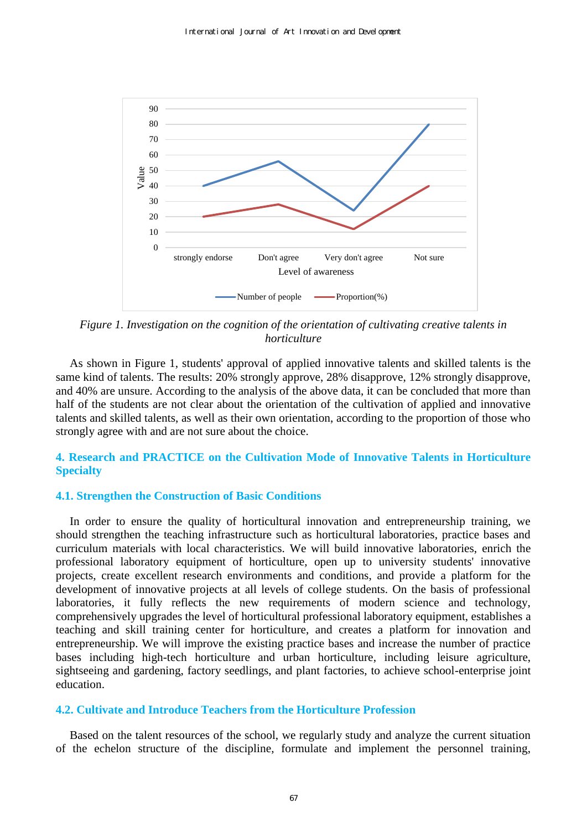

*Figure 1. Investigation on the cognition of the orientation of cultivating creative talents in horticulture* 

As shown in Figure 1, students' approval of applied innovative talents and skilled talents is the same kind of talents. The results: 20% strongly approve, 28% disapprove, 12% strongly disapprove, and 40% are unsure. According to the analysis of the above data, it can be concluded that more than half of the students are not clear about the orientation of the cultivation of applied and innovative talents and skilled talents, as well as their own orientation, according to the proportion of those who strongly agree with and are not sure about the choice.

# **4. Research and PRACTICE on the Cultivation Mode of Innovative Talents in Horticulture Specialty**

#### **4.1. Strengthen the Construction of Basic Conditions**

In order to ensure the quality of horticultural innovation and entrepreneurship training, we should strengthen the teaching infrastructure such as horticultural laboratories, practice bases and curriculum materials with local characteristics. We will build innovative laboratories, enrich the professional laboratory equipment of horticulture, open up to university students' innovative projects, create excellent research environments and conditions, and provide a platform for the development of innovative projects at all levels of college students. On the basis of professional laboratories, it fully reflects the new requirements of modern science and technology, comprehensively upgrades the level of horticultural professional laboratory equipment, establishes a teaching and skill training center for horticulture, and creates a platform for innovation and entrepreneurship. We will improve the existing practice bases and increase the number of practice bases including high-tech horticulture and urban horticulture, including leisure agriculture, sightseeing and gardening, factory seedlings, and plant factories, to achieve school-enterprise joint education.

# **4.2. Cultivate and Introduce Teachers from the Horticulture Profession**

Based on the talent resources of the school, we regularly study and analyze the current situation of the echelon structure of the discipline, formulate and implement the personnel training,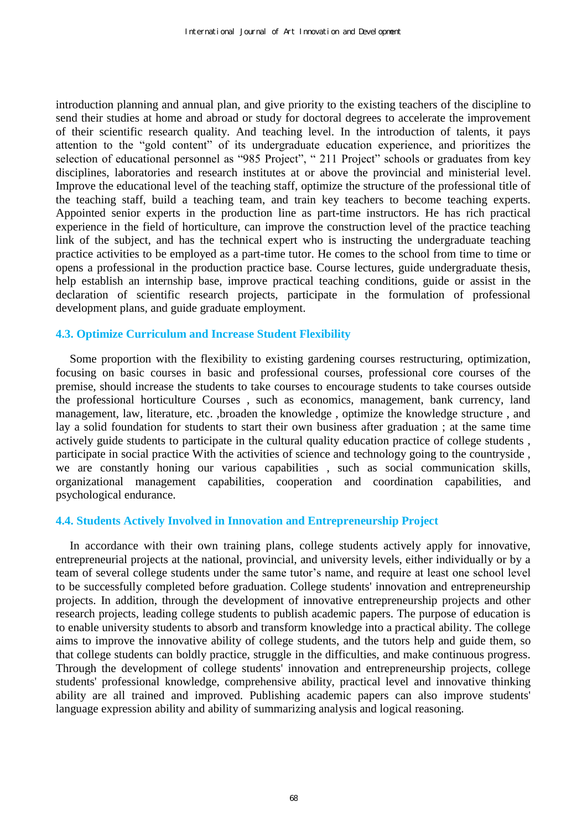introduction planning and annual plan, and give priority to the existing teachers of the discipline to send their studies at home and abroad or study for doctoral degrees to accelerate the improvement of their scientific research quality. And teaching level. In the introduction of talents, it pays attention to the "gold content" of its undergraduate education experience, and prioritizes the selection of educational personnel as "985 Project", " 211 Project" schools or graduates from key disciplines, laboratories and research institutes at or above the provincial and ministerial level. Improve the educational level of the teaching staff, optimize the structure of the professional title of the teaching staff, build a teaching team, and train key teachers to become teaching experts. Appointed senior experts in the production line as part-time instructors. He has rich practical experience in the field of horticulture, can improve the construction level of the practice teaching link of the subject, and has the technical expert who is instructing the undergraduate teaching practice activities to be employed as a part-time tutor. He comes to the school from time to time or opens a professional in the production practice base. Course lectures, guide undergraduate thesis, help establish an internship base, improve practical teaching conditions, guide or assist in the declaration of scientific research projects, participate in the formulation of professional development plans, and guide graduate employment.

# **4.3. Optimize Curriculum and Increase Student Flexibility**

Some proportion with the flexibility to existing gardening courses restructuring, optimization, focusing on basic courses in basic and professional courses, professional core courses of the premise, should increase the students to take courses to encourage students to take courses outside the professional horticulture Courses , such as economics, management, bank currency, land management, law, literature, etc. ,broaden the knowledge , optimize the knowledge structure , and lay a solid foundation for students to start their own business after graduation ; at the same time actively guide students to participate in the cultural quality education practice of college students , participate in social practice With the activities of science and technology going to the countryside , we are constantly honing our various capabilities , such as social communication skills, organizational management capabilities, cooperation and coordination capabilities, and psychological endurance.

# **4.4. Students Actively Involved in Innovation and Entrepreneurship Project**

In accordance with their own training plans, college students actively apply for innovative, entrepreneurial projects at the national, provincial, and university levels, either individually or by a team of several college students under the same tutor's name, and require at least one school level to be successfully completed before graduation. College students' innovation and entrepreneurship projects. In addition, through the development of innovative entrepreneurship projects and other research projects, leading college students to publish academic papers. The purpose of education is to enable university students to absorb and transform knowledge into a practical ability. The college aims to improve the innovative ability of college students, and the tutors help and guide them, so that college students can boldly practice, struggle in the difficulties, and make continuous progress. Through the development of college students' innovation and entrepreneurship projects, college students' professional knowledge, comprehensive ability, practical level and innovative thinking ability are all trained and improved. Publishing academic papers can also improve students' language expression ability and ability of summarizing analysis and logical reasoning.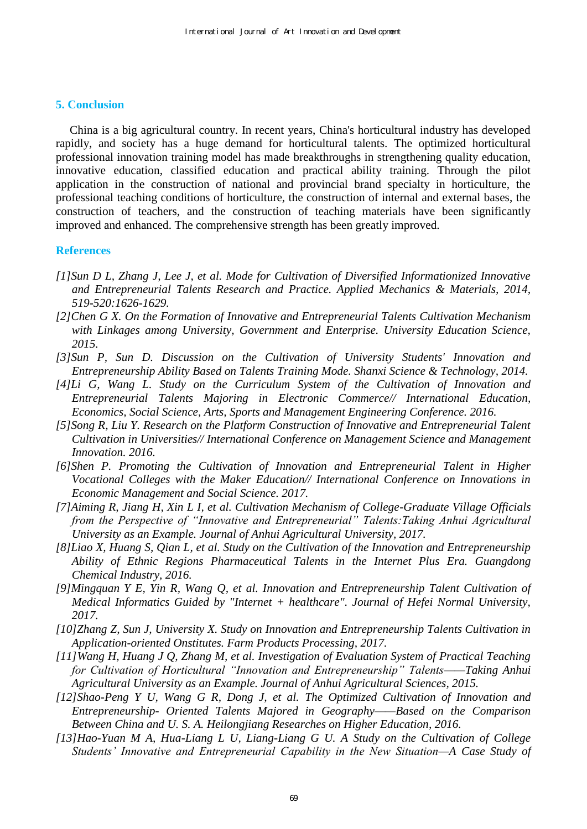#### **5. Conclusion**

China is a big agricultural country. In recent years, China's horticultural industry has developed rapidly, and society has a huge demand for horticultural talents. The optimized horticultural professional innovation training model has made breakthroughs in strengthening quality education, innovative education, classified education and practical ability training. Through the pilot application in the construction of national and provincial brand specialty in horticulture, the professional teaching conditions of horticulture, the construction of internal and external bases, the construction of teachers, and the construction of teaching materials have been significantly improved and enhanced. The comprehensive strength has been greatly improved.

#### **References**

- *[1]Sun D L, Zhang J, Lee J, et al. Mode for Cultivation of Diversified Informationized Innovative and Entrepreneurial Talents Research and Practice. Applied Mechanics & Materials, 2014, 519-520:1626-1629.*
- *[2]Chen G X. On the Formation of Innovative and Entrepreneurial Talents Cultivation Mechanism with Linkages among University, Government and Enterprise. University Education Science, 2015.*
- *[3]Sun P, Sun D. Discussion on the Cultivation of University Students' Innovation and Entrepreneurship Ability Based on Talents Training Mode. Shanxi Science & Technology, 2014.*
- *[4]Li G, Wang L. Study on the Curriculum System of the Cultivation of Innovation and Entrepreneurial Talents Majoring in Electronic Commerce// International Education, Economics, Social Science, Arts, Sports and Management Engineering Conference. 2016.*
- *[5]Song R, Liu Y. Research on the Platform Construction of Innovative and Entrepreneurial Talent Cultivation in Universities// International Conference on Management Science and Management Innovation. 2016.*
- *[6]Shen P. Promoting the Cultivation of Innovation and Entrepreneurial Talent in Higher Vocational Colleges with the Maker Education// International Conference on Innovations in Economic Management and Social Science. 2017.*
- *[7]Aiming R, Jiang H, Xin L I, et al. Cultivation Mechanism of College-Graduate Village Officials from the Perspective of "Innovative and Entrepreneurial" Talents:Taking Anhui Agricultural University as an Example. Journal of Anhui Agricultural University, 2017.*
- *[8]Liao X, Huang S, Qian L, et al. Study on the Cultivation of the Innovation and Entrepreneurship Ability of Ethnic Regions Pharmaceutical Talents in the Internet Plus Era. Guangdong Chemical Industry, 2016.*
- *[9]Mingquan Y E, Yin R, Wang Q, et al. Innovation and Entrepreneurship Talent Cultivation of Medical Informatics Guided by "Internet + healthcare". Journal of Hefei Normal University, 2017.*
- *[10]Zhang Z, Sun J, University X. Study on Innovation and Entrepreneurship Talents Cultivation in Application-oriented Onstitutes. Farm Products Processing, 2017.*
- *[11]Wang H, Huang J Q, Zhang M, et al. Investigation of Evaluation System of Practical Teaching for Cultivation of Horticultural "Innovation and Entrepreneurship" Talents——Taking Anhui Agricultural University as an Example. Journal of Anhui Agricultural Sciences, 2015.*
- *[12]Shao-Peng Y U, Wang G R, Dong J, et al. The Optimized Cultivation of Innovation and Entrepreneurship- Oriented Talents Majored in Geography——Based on the Comparison Between China and U. S. A. Heilongjiang Researches on Higher Education, 2016.*
- *[13]Hao-Yuan M A, Hua-Liang L U, Liang-Liang G U. A Study on the Cultivation of College Students' Innovative and Entrepreneurial Capability in the New Situation—A Case Study of*